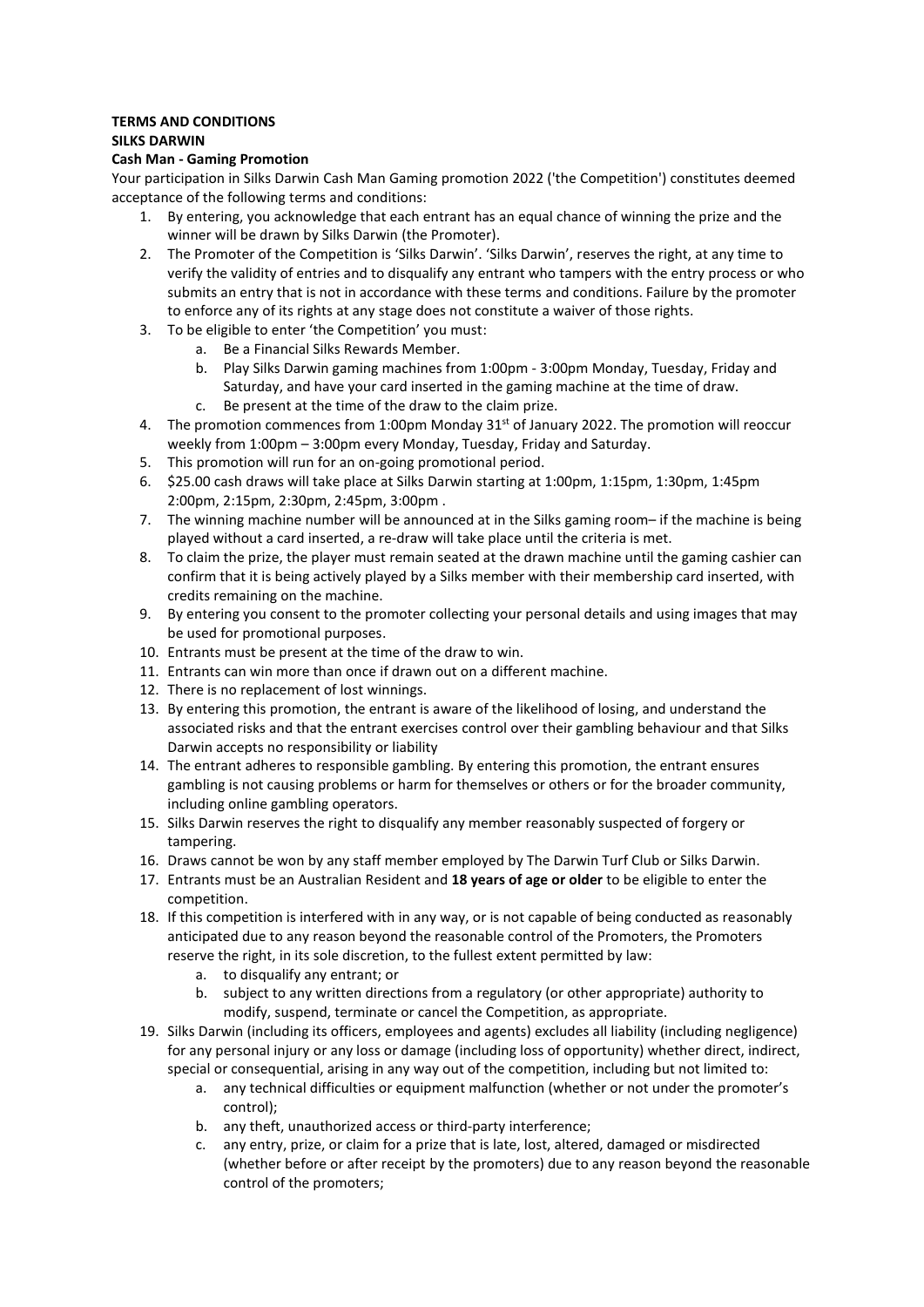## **TERMS AND CONDITIONS SILKS DARWIN**

## **Cash Man - Gaming Promotion**

Your participation in Silks Darwin Cash Man Gaming promotion 2022 ('the Competition') constitutes deemed acceptance of the following terms and conditions:

- 1. By entering, you acknowledge that each entrant has an equal chance of winning the prize and the winner will be drawn by Silks Darwin (the Promoter).
- 2. The Promoter of the Competition is 'Silks Darwin'. 'Silks Darwin', reserves the right, at any time to verify the validity of entries and to disqualify any entrant who tampers with the entry process or who submits an entry that is not in accordance with these terms and conditions. Failure by the promoter to enforce any of its rights at any stage does not constitute a waiver of those rights.
- 3. To be eligible to enter 'the Competition' you must:
	- a. Be a Financial Silks Rewards Member.
	- b. Play Silks Darwin gaming machines from 1:00pm 3:00pm Monday, Tuesday, Friday and Saturday, and have your card inserted in the gaming machine at the time of draw.
	- c. Be present at the time of the draw to the claim prize.
- 4. The promotion commences from 1:00pm Monday  $31<sup>st</sup>$  of January 2022. The promotion will reoccur weekly from 1:00pm – 3:00pm every Monday, Tuesday, Friday and Saturday.
- 5. This promotion will run for an on-going promotional period.
- 6. \$25.00 cash draws will take place at Silks Darwin starting at 1:00pm, 1:15pm, 1:30pm, 1:45pm 2:00pm, 2:15pm, 2:30pm, 2:45pm, 3:00pm .
- 7. The winning machine number will be announced at in the Silks gaming room– if the machine is being played without a card inserted, a re-draw will take place until the criteria is met.
- 8. To claim the prize, the player must remain seated at the drawn machine until the gaming cashier can confirm that it is being actively played by a Silks member with their membership card inserted, with credits remaining on the machine.
- 9. By entering you consent to the promoter collecting your personal details and using images that may be used for promotional purposes.
- 10. Entrants must be present at the time of the draw to win.
- 11. Entrants can win more than once if drawn out on a different machine.
- 12. There is no replacement of lost winnings.
- 13. By entering this promotion, the entrant is aware of the likelihood of losing, and understand the associated risks and that the entrant exercises control over their gambling behaviour and that Silks Darwin accepts no responsibility or liability
- 14. The entrant adheres to responsible gambling. By entering this promotion, the entrant ensures gambling is not causing problems or harm for themselves or others or for the broader community, including online gambling operators.
- 15. Silks Darwin reserves the right to disqualify any member reasonably suspected of forgery or tampering.
- 16. Draws cannot be won by any staff member employed by The Darwin Turf Club or Silks Darwin.
- 17. Entrants must be an Australian Resident and **18 years of age or older** to be eligible to enter the competition.
- 18. If this competition is interfered with in any way, or is not capable of being conducted as reasonably anticipated due to any reason beyond the reasonable control of the Promoters, the Promoters reserve the right, in its sole discretion, to the fullest extent permitted by law:
	- a. to disqualify any entrant; or
	- b. subject to any written directions from a regulatory (or other appropriate) authority to modify, suspend, terminate or cancel the Competition, as appropriate.
- 19. Silks Darwin (including its officers, employees and agents) excludes all liability (including negligence) for any personal injury or any loss or damage (including loss of opportunity) whether direct, indirect, special or consequential, arising in any way out of the competition, including but not limited to:
	- a. any technical difficulties or equipment malfunction (whether or not under the promoter's control);
	- b. any theft, unauthorized access or third-party interference;
	- c. any entry, prize, or claim for a prize that is late, lost, altered, damaged or misdirected (whether before or after receipt by the promoters) due to any reason beyond the reasonable control of the promoters;